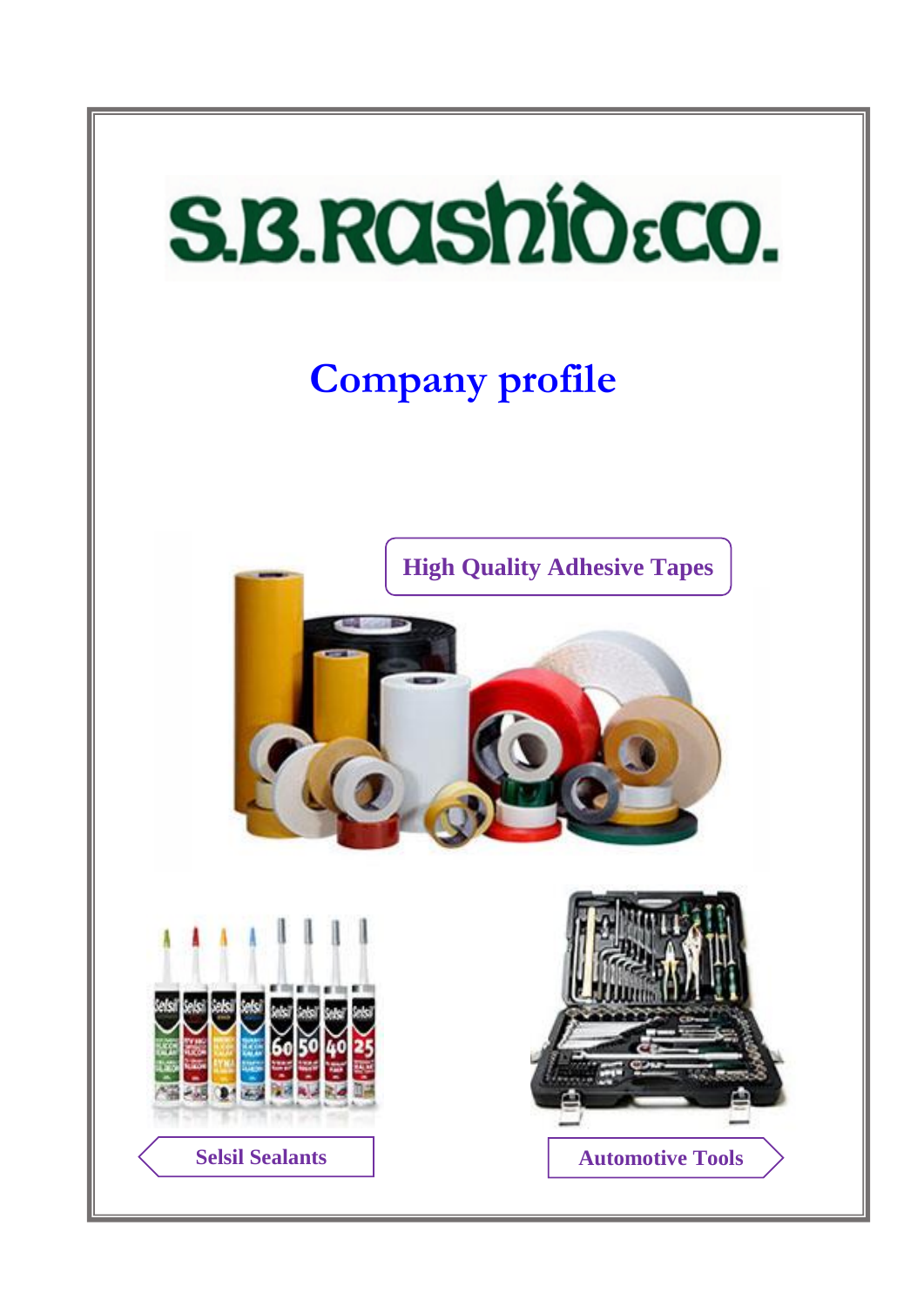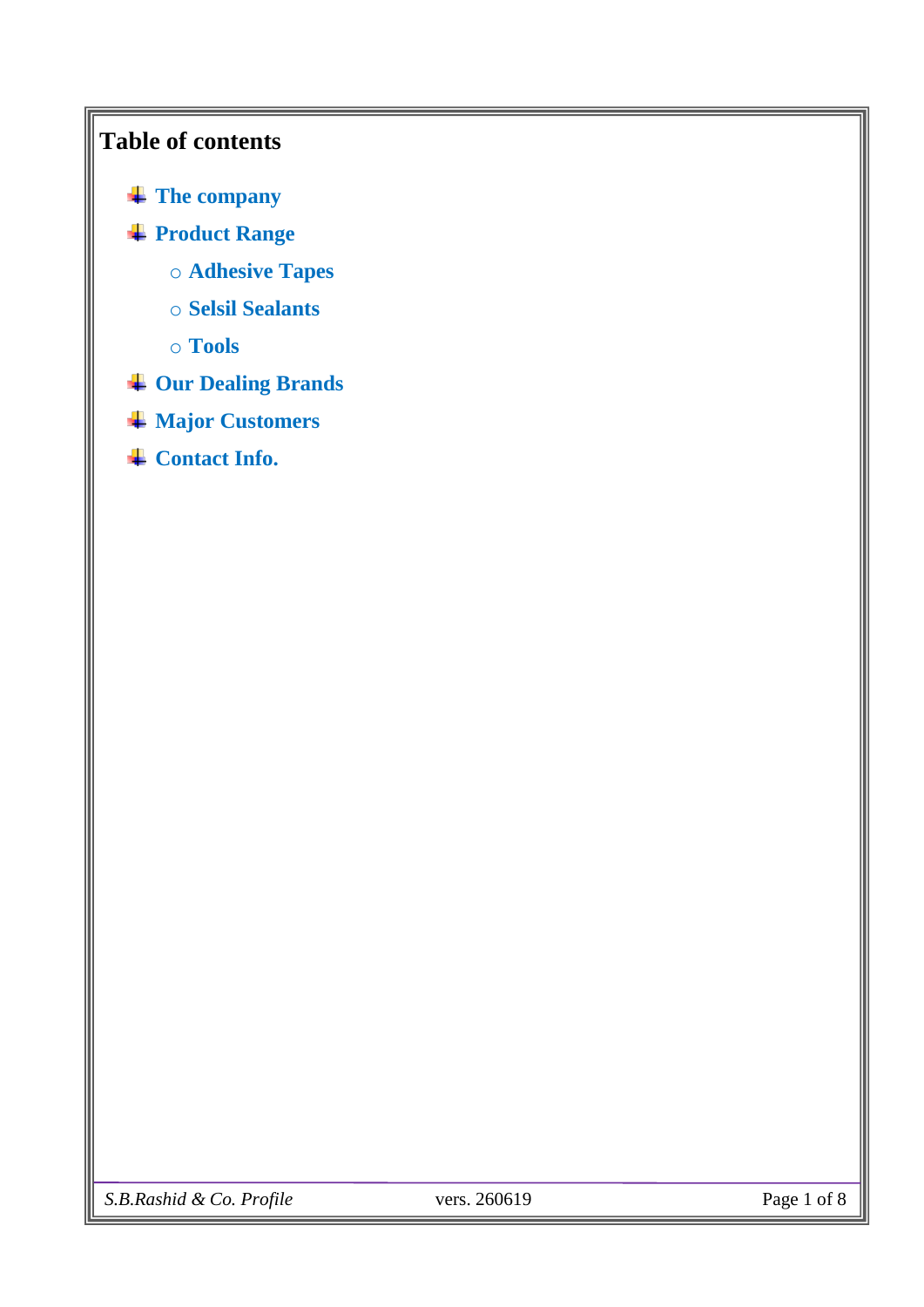# **Table of contents**

- **[The company](#page-2-0)**
- **[Product Range](#page-3-0)**
	- o **[Adhesive Tapes](#page-3-0)**
	- o **[Selsil Sealants](#page-4-0)**
	- o **[Tools](#page-5-0)**
- **[Our Dealing Brands](#page-6-0)**
- **[Major Customers](#page-7-0)**
- $\overline{\phantom{a}}$  [Contact Info.](#page-8-0)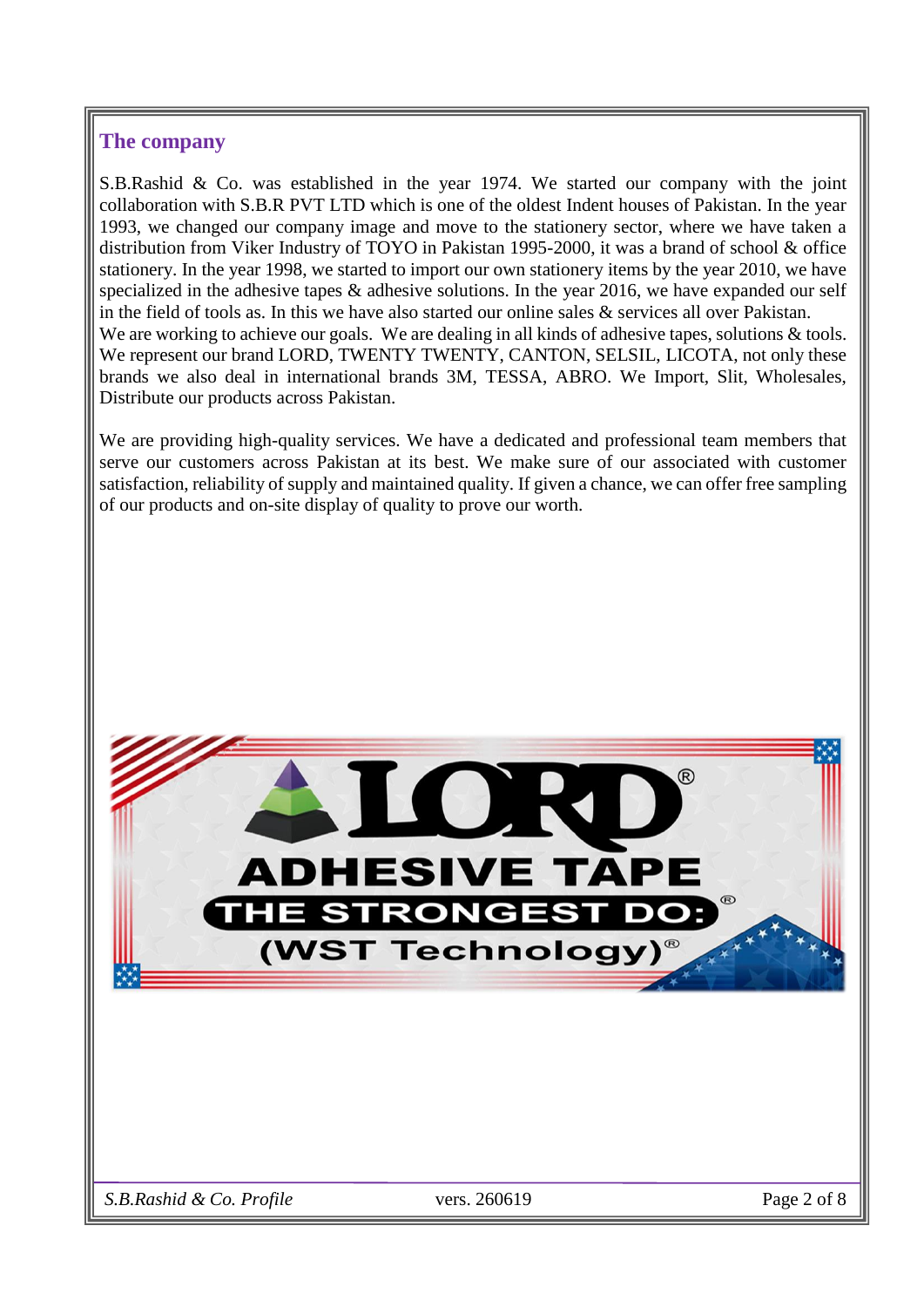#### <span id="page-2-0"></span>**The company**

S.B.Rashid & Co. was established in the year 1974. We started our company with the joint collaboration with S.B.R PVT LTD which is one of the oldest Indent houses of Pakistan. In the year 1993, we changed our company image and move to the stationery sector, where we have taken a distribution from Viker Industry of TOYO in Pakistan 1995-2000, it was a brand of school & office stationery. In the year 1998, we started to import our own stationery items by the year 2010, we have specialized in the adhesive tapes & adhesive solutions. In the year 2016, we have expanded our self in the field of tools as. In this we have also started our online sales & services all over Pakistan. We are working to achieve our goals. We are dealing in all kinds of adhesive tapes, solutions & tools. We represent our brand LORD, TWENTY TWENTY, CANTON, SELSIL, LICOTA, not only these brands we also deal in international brands 3M, TESSA, ABRO. We Import, Slit, Wholesales, Distribute our products across Pakistan.

We are providing high-quality services. We have a dedicated and professional team members that serve our customers across Pakistan at its best. We make sure of our associated with customer satisfaction, reliability of supply and maintained quality. If given a chance, we can offer free sampling of our products and on-site display of quality to prove our worth.

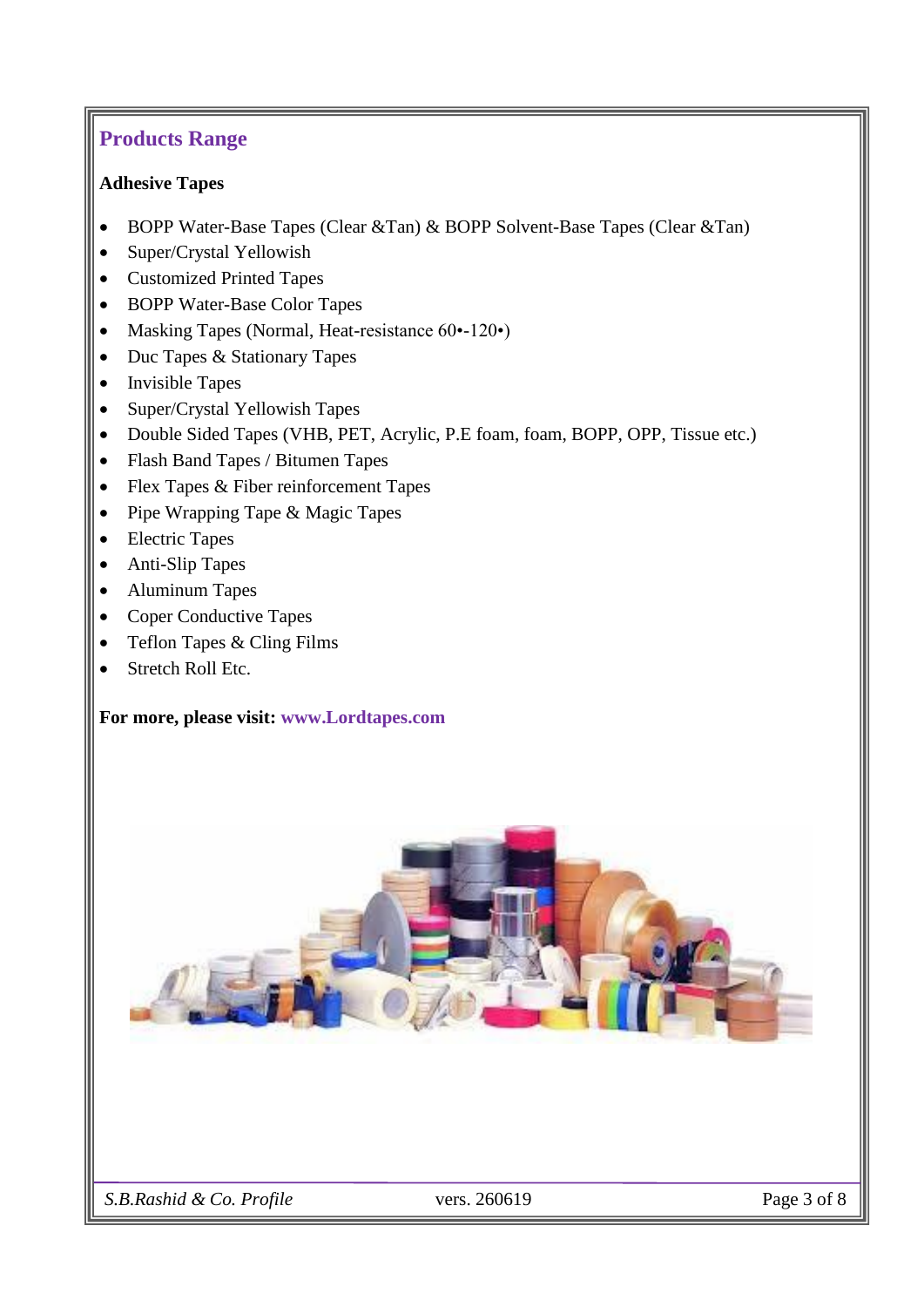## **Products Range**

#### <span id="page-3-0"></span>**Adhesive Tapes**

- BOPP Water-Base Tapes (Clear &Tan) & BOPP Solvent-Base Tapes (Clear &Tan)
- Super/Crystal Yellowish
- Customized Printed Tapes
- BOPP Water-Base Color Tapes
- Masking Tapes (Normal, Heat-resistance 60•-120•)
- Duc Tapes & Stationary Tapes
- Invisible Tapes
- Super/Crystal Yellowish Tapes
- Double Sided Tapes (VHB, PET, Acrylic, P.E foam, foam, BOPP, OPP, Tissue etc.)
- Flash Band Tapes / Bitumen Tapes
- Flex Tapes & Fiber reinforcement Tapes
- Pipe Wrapping Tape & Magic Tapes
- Electric Tapes
- Anti-Slip Tapes
- Aluminum Tapes
- Coper Conductive Tapes
- Teflon Tapes & Cling Films
- Stretch Roll Etc.

#### **For more, please visit: [www.Lordtapes.com](https://www.lordtapes.com/)**

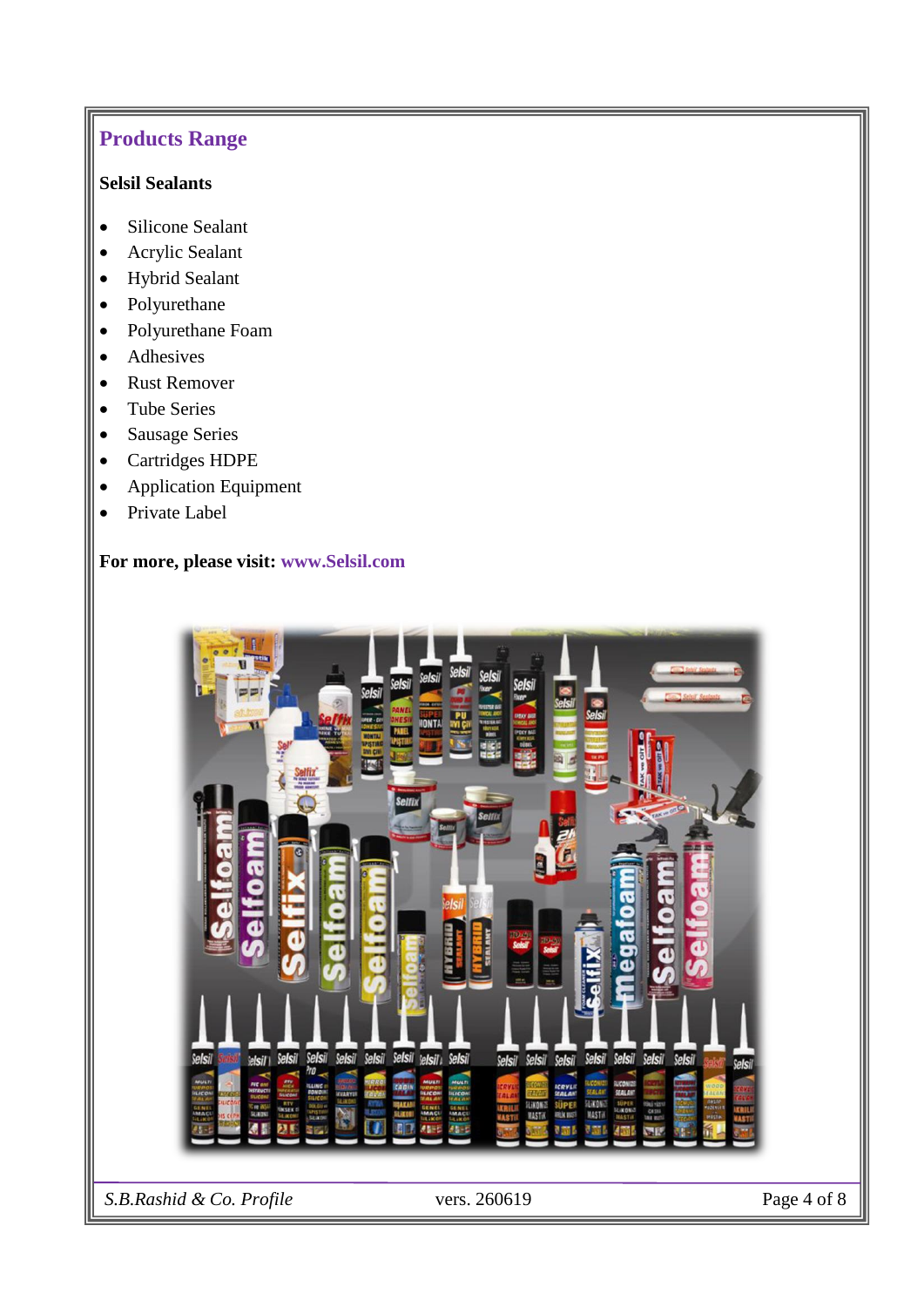# **Products Range**

#### <span id="page-4-0"></span>**Selsil Sealants**

- Silicone Sealant
- Acrylic Sealant
- Hybrid Sealant
- Polyurethane
- Polyurethane Foam
- Adhesives
- Rust Remover
- Tube Series
- Sausage Series
- Cartridges HDPE
- Application Equipment
- Private Label

#### **For more, please visit: [www.Selsil.com](https://www.selsil.com/)**

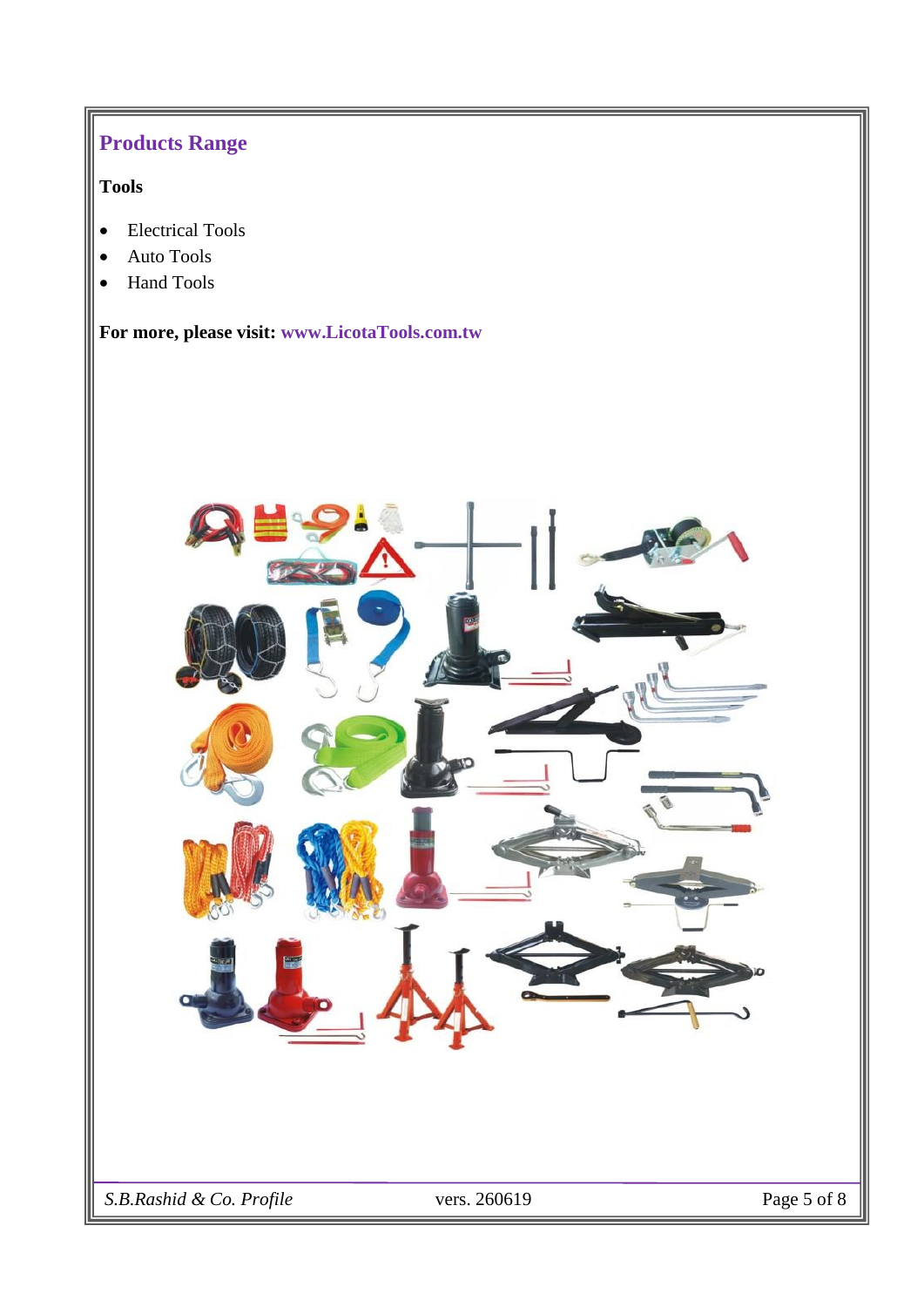# **Products Range**

### <span id="page-5-0"></span>**Tools**

- Electrical Tools
- Auto Tools
- Hand Tools

**For more, please visit: [www.LicotaTools.com.tw](http://www.licotatools.com.tw/)**

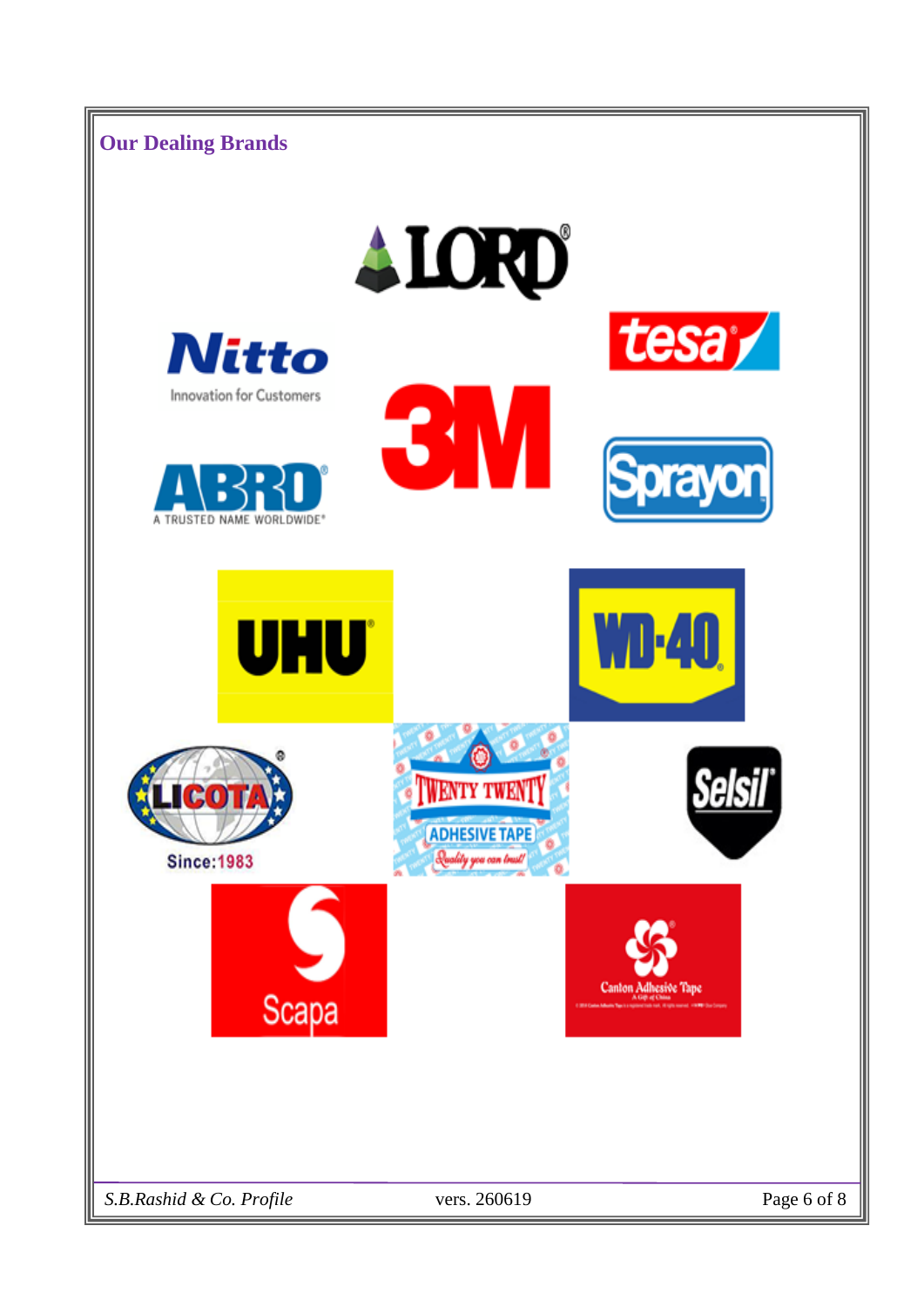<span id="page-6-0"></span>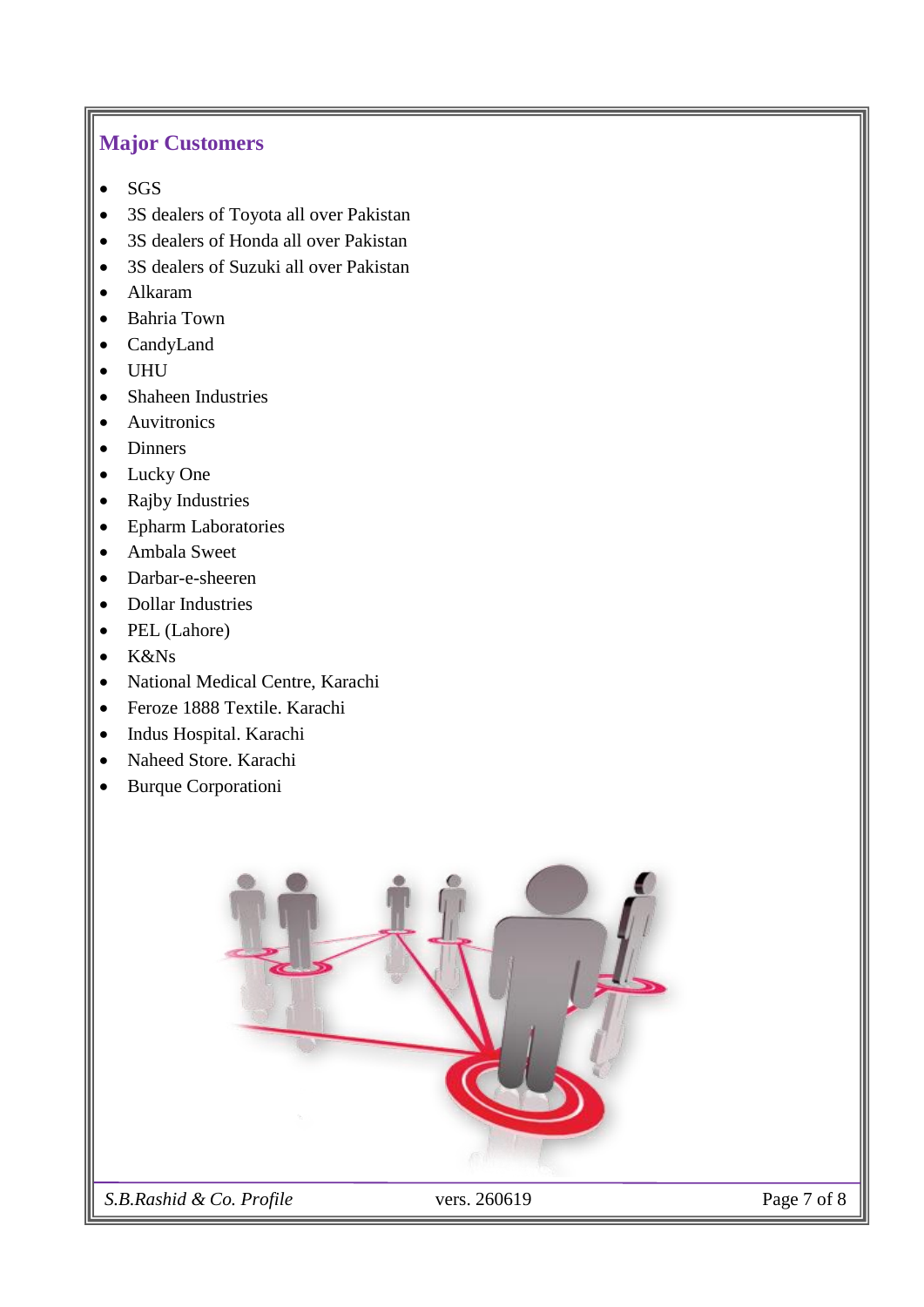### <span id="page-7-0"></span>**Major Customers**

- SGS
- 3S dealers of Toyota all over Pakistan
- 3S dealers of Honda all over Pakistan
- 3S dealers of Suzuki all over Pakistan
- Alkaram
- Bahria Town
- CandyLand
- UHU
- Shaheen Industries
- Auvitronics
- Dinners
- Lucky One
- Rajby Industries
- Epharm Laboratories
- Ambala Sweet
- Darbar-e-sheeren
- Dollar Industries
- PEL (Lahore)
- K&Ns
- National Medical Centre, Karachi
- Feroze 1888 Textile. Karachi
- Indus Hospital. Karachi
- Naheed Store. Karachi
- Burque Corporationi



 *S.B.Rashid & Co. Profile* vers. 260619 Page 7 of 8